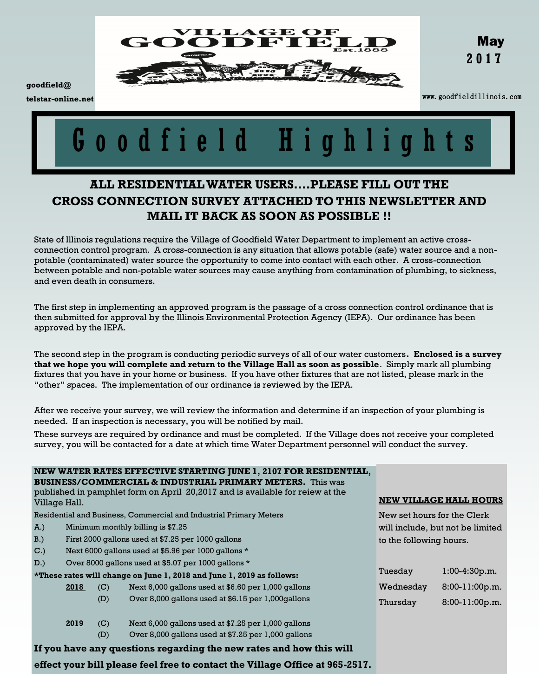

**goodfield@ telstar-online.net**

www.goodfieldillinois.com

# o o d f i e l d H i g h l i g h t s

## **ALL RESIDENTIAL WATER USERS….PLEASE FILL OUT THE CROSS CONNECTION SURVEY ATTACHED TO THIS NEWSLETTER AND MAIL IT BACK AS SOON AS POSSIBLE !!**

State of Illinois regulations require the Village of Goodfield Water Department to implement an active crossconnection control program. A cross-connection is any situation that allows potable (safe) water source and a nonpotable (contaminated) water source the opportunity to come into contact with each other. A cross-connection between potable and non-potable water sources may cause anything from contamination of plumbing, to sickness, and even death in consumers.

The first step in implementing an approved program is the passage of a cross connection control ordinance that is then submitted for approval by the Illinois Environmental Protection Agency (IEPA). Our ordinance has been approved by the IEPA.

The second step in the program is conducting periodic surveys of all of our water customers**. Enclosed is a survey that we hope you will complete and return to the Village Hall as soon as possible**. Simply mark all plumbing fixtures that you have in your home or business. If you have other fixtures that are not listed, please mark in the "other" spaces. The implementation of our ordinance is reviewed by the IEPA.

After we receive your survey, we will review the information and determine if an inspection of your plumbing is needed. If an inspection is necessary, you will be notified by mail.

These surveys are required by ordinance and must be completed. If the Village does not receive your completed survey, you will be contacted for a date at which time Water Department personnel will conduct the survey.

| NEW WATER RATES EFFECTIVE STARTING JUNE 1, 2107 FOR RESIDENTIAL,<br><b>BUSINESS/COMMERCIAL &amp; INDUSTRIAL PRIMARY METERS.</b> This was |                                                     |     |                                                     |                                  |                  |  |
|------------------------------------------------------------------------------------------------------------------------------------------|-----------------------------------------------------|-----|-----------------------------------------------------|----------------------------------|------------------|--|
| published in pamphlet form on April 20,2017 and is available for reiew at the<br>Village Hall.                                           |                                                     |     |                                                     | <b>NEW VILLAGE HALL HOURS</b>    |                  |  |
| Residential and Business, Commercial and Industrial Primary Meters                                                                       |                                                     |     |                                                     | New set hours for the Clerk      |                  |  |
| A.)                                                                                                                                      | Minimum monthly billing is \$7.25                   |     |                                                     | will include, but not be limited |                  |  |
| $B.$ )                                                                                                                                   | First 2000 gallons used at \$7.25 per 1000 gallons  |     |                                                     | to the following hours.          |                  |  |
| C.                                                                                                                                       | Next 6000 gallons used at \$5.96 per 1000 gallons * |     |                                                     |                                  |                  |  |
| D.)                                                                                                                                      |                                                     |     | Over 8000 gallons used at \$5.07 per 1000 gallons * |                                  |                  |  |
| *These rates will change on June 1, 2018 and June 1, 2019 as follows:                                                                    |                                                     |     |                                                     | Tuesday                          | $1:00-4:30p.m.$  |  |
|                                                                                                                                          | 2018                                                | (C) | Next 6,000 gallons used at \$6.60 per 1,000 gallons | Wednesday                        | $8:00-11:00p.m.$ |  |
|                                                                                                                                          |                                                     | (D) | Over 8,000 gallons used at \$6.15 per 1,000 gallons | Thursday                         | $8:00-11:00p.m.$ |  |
|                                                                                                                                          | 2019                                                | (C) | Next 6,000 gallons used at \$7.25 per 1,000 gallons |                                  |                  |  |
|                                                                                                                                          |                                                     | (D) | Over 8,000 gallons used at \$7.25 per 1,000 gallons |                                  |                  |  |
| If you have any questions regarding the new rates and how this will                                                                      |                                                     |     |                                                     |                                  |                  |  |
| effect your bill please feel free to contact the Village Office at 965-2517.                                                             |                                                     |     |                                                     |                                  |                  |  |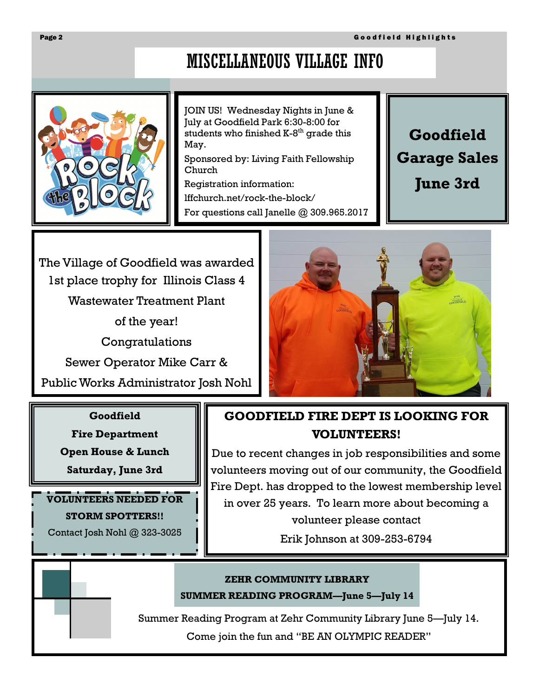# MISCELLANEOUS VILLAGE INFO



JOIN US! Wednesday Nights in June & July at Goodfield Park 6:30-8:00 for students who finished K-8<sup>th</sup> grade this May.

Sponsored by: Living Faith Fellowship Church

Registration information: lffchurch.net/rock-the-block/

For questions call Janelle @ 309.965.2017

**Goodfield Garage Sales June 3rd**

The Village of Goodfield was awarded 1st place trophy for Illinois Class 4 Wastewater Treatment Plant

of the year!

Congratulations

Sewer Operator Mike Carr &

Public Works Administrator Josh Nohl

#### **Goodfield**

**Fire Department**

**Open House & Lunch**

**Saturday, June 3rd**

**VOLUNTEERS NEEDED FOR STORM SPOTTERS!!** Contact Josh Nohl @ 323-3025



# **GOODFIELD FIRE DEPT IS LOOKING FOR VOLUNTEERS!**

Due to recent changes in job responsibilities and some volunteers moving out of our community, the Goodfield Fire Dept. has dropped to the lowest membership level in over 25 years. To learn more about becoming a volunteer please contact

Erik Johnson at 309-253-6794

#### **ZEHR COMMUNITY LIBRARY**

**SUMMER READING PROGRAM—June 5—July 14**

Summer Reading Program at Zehr Community Library June 5—July 14.

Come join the fun and "BE AN OLYMPIC READER"